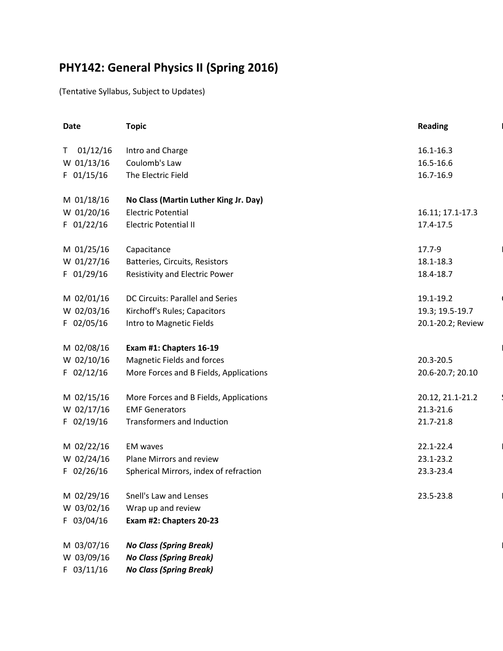## **PHY142: General Physics II (Spring 2016)**

(Tentative Syllabus, Subject to Updates)

| Date           | <b>Topic</b>                           | <b>Reading</b>    |
|----------------|----------------------------------------|-------------------|
| 01/12/16<br>T. | Intro and Charge                       | 16.1-16.3         |
| W 01/13/16     | Coulomb's Law                          | 16.5-16.6         |
| $F$ 01/15/16   | The Electric Field                     | 16.7-16.9         |
|                |                                        |                   |
| M 01/18/16     | No Class (Martin Luther King Jr. Day)  |                   |
| W 01/20/16     | <b>Electric Potential</b>              | 16.11; 17.1-17.3  |
| F 01/22/16     | <b>Electric Potential II</b>           | 17.4-17.5         |
|                |                                        |                   |
| M 01/25/16     | Capacitance                            | 17.7-9            |
| W 01/27/16     | Batteries, Circuits, Resistors         | 18.1-18.3         |
| F 01/29/16     | Resistivity and Electric Power         | 18.4-18.7         |
|                |                                        |                   |
| M 02/01/16     | DC Circuits: Parallel and Series       | 19.1-19.2         |
| W 02/03/16     | Kirchoff's Rules; Capacitors           | 19.3; 19.5-19.7   |
| $F$ 02/05/16   | Intro to Magnetic Fields               | 20.1-20.2; Review |
|                |                                        |                   |
| M 02/08/16     | Exam #1: Chapters 16-19                |                   |
| W 02/10/16     | <b>Magnetic Fields and forces</b>      | 20.3-20.5         |
| $F$ 02/12/16   | More Forces and B Fields, Applications | 20.6-20.7; 20.10  |
|                |                                        |                   |
| M 02/15/16     | More Forces and B Fields, Applications | 20.12, 21.1-21.2  |
| W 02/17/16     | <b>EMF Generators</b>                  | 21.3-21.6         |
| $F$ 02/19/16   | Transformers and Induction             | 21.7-21.8         |
|                |                                        |                   |
| M 02/22/16     | <b>EM</b> waves                        | 22.1-22.4         |
| W 02/24/16     | Plane Mirrors and review               | 23.1-23.2         |
| $F$ 02/26/16   | Spherical Mirrors, index of refraction | 23.3-23.4         |
| M 02/29/16     | Snell's Law and Lenses                 | 23.5-23.8         |
| W 03/02/16     | Wrap up and review                     |                   |
| F 03/04/16     | Exam #2: Chapters 20-23                |                   |
|                |                                        |                   |
| M 03/07/16     | <b>No Class (Spring Break)</b>         |                   |
| W 03/09/16     | <b>No Class (Spring Break)</b>         |                   |
| $F$ 03/11/16   | <b>No Class (Spring Break)</b>         |                   |
|                |                                        |                   |